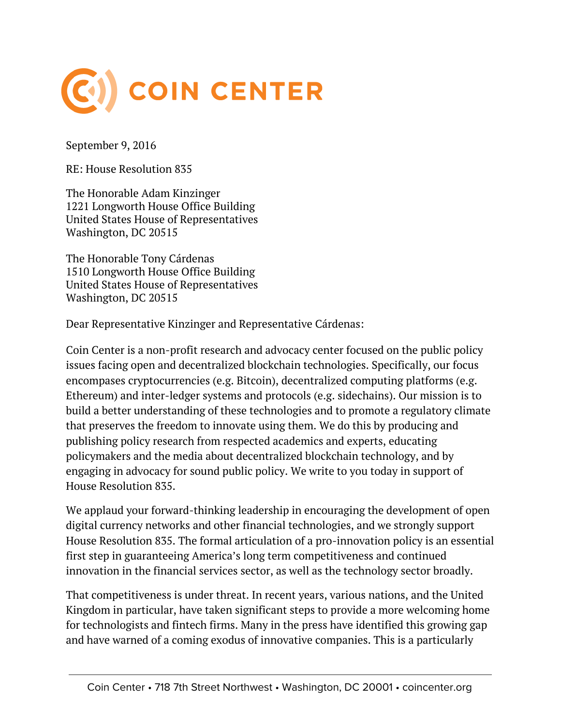

September 9, 2016

RE: House Resolution 835

The Honorable Adam Kinzinger 1221 Longworth House Office Building United States House of Representatives Washington, DC 20515

The Honorable Tony Cárdenas 1510 Longworth House Office Building United States House of Representatives Washington, DC 20515

Dear Representative Kinzinger and Representative Cárdenas:

Coin Center is a non-profit research and advocacy center focused on the public policy issues facing open and decentralized blockchain technologies. Specifically, our focus encompases cryptocurrencies (e.g. Bitcoin), decentralized computing platforms (e.g. Ethereum) and inter-ledger systems and protocols (e.g. sidechains). Our mission is to build a better understanding of these technologies and to promote a regulatory climate that preserves the freedom to innovate using them. We do this by producing and publishing policy research from respected academics and experts, educating policymakers and the media about decentralized blockchain technology, and by engaging in advocacy for sound public policy. We write to you today in support of House Resolution 835.

We applaud your forward-thinking leadership in encouraging the development of open digital currency networks and other financial technologies, and we strongly support House Resolution 835. The formal articulation of a pro-innovation policy is an essential first step in guaranteeing America's long term competitiveness and continued innovation in the financial services sector, as well as the technology sector broadly.

That competitiveness is under threat. In recent years, various nations, and the United Kingdom in particular, have taken significant steps to provide a more welcoming home for technologists and fintech firms. Many in the press have identified this growing gap and have warned of a coming exodus of innovative companies. This is a particularly